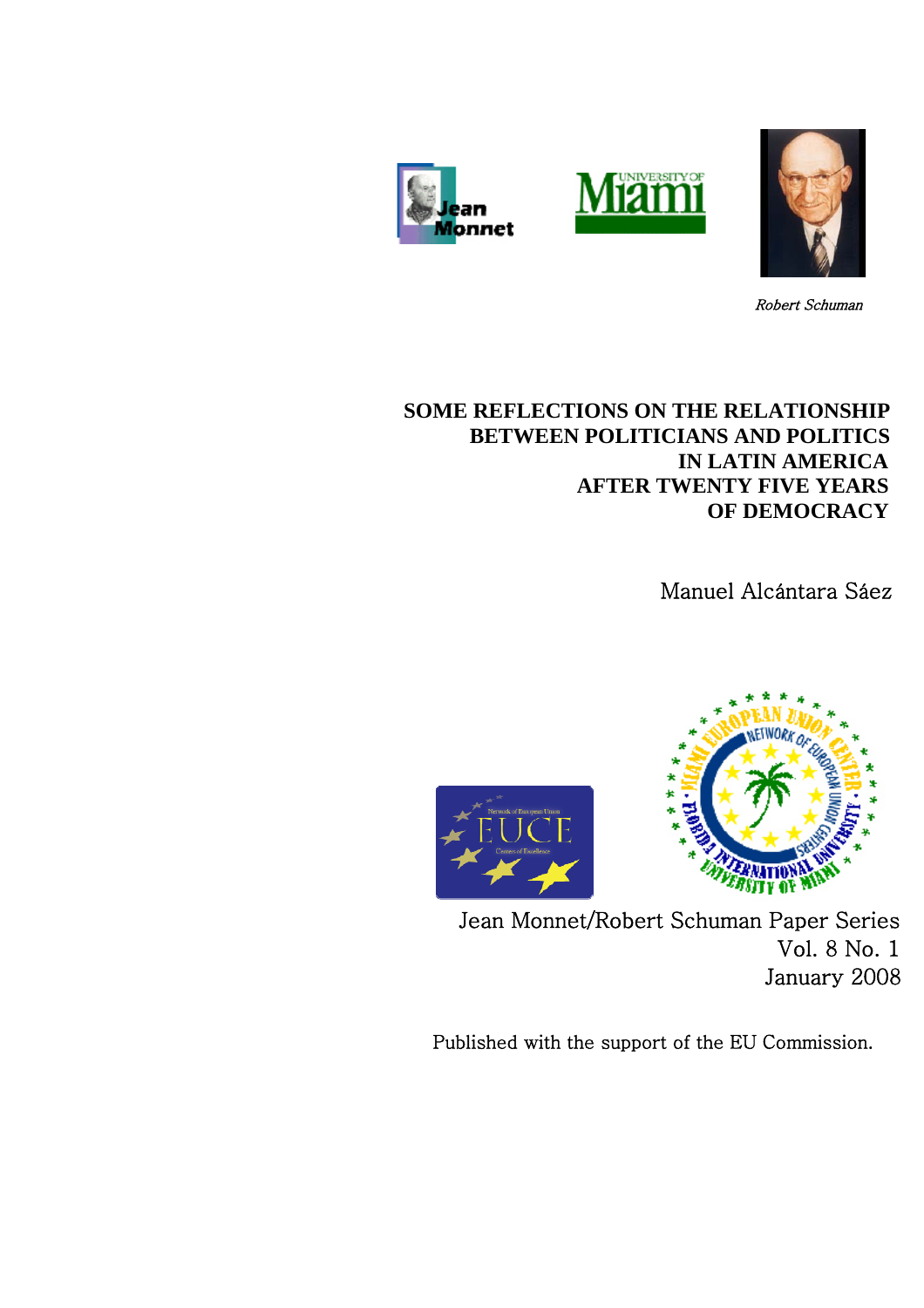





Robert Schuman

# **SOME REFLECTIONS ON THE RELATIONSHIP BETWEEN POLITICIANS AND POLITICS IN LATIN AMERICA AFTER TWENTY FIVE YEARS OF DEMOCRACY**

Manuel Alcántara Sáez





Jean Monnet/Robert Schuman Paper Series Vol. 8 No. 1 January 2008

Published with the support of the EU Commission.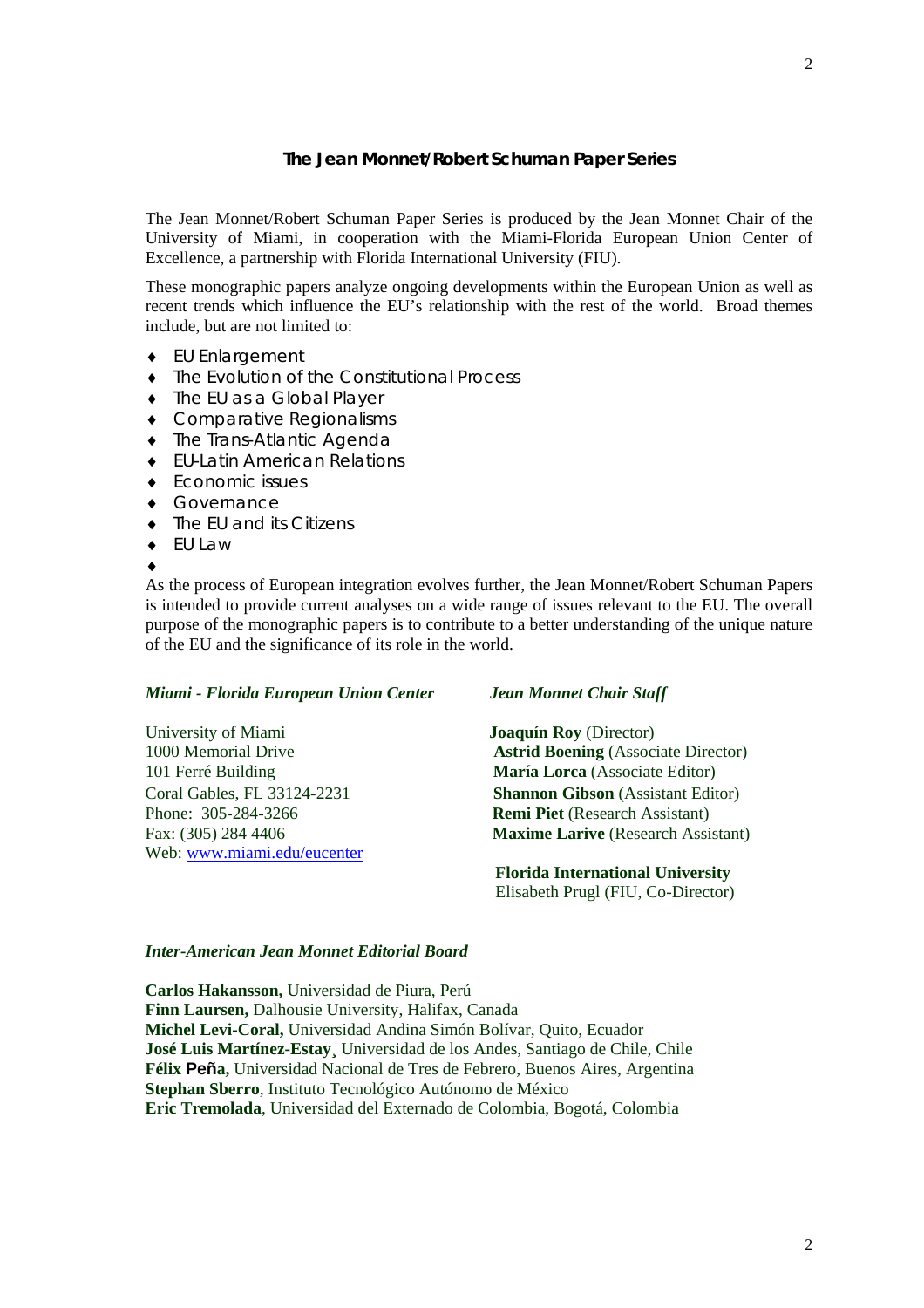## **The Jean Monnet/Robert Schuman Paper Series**

The Jean Monnet/Robert Schuman Paper Series is produced by the Jean Monnet Chair of the University of Miami, in cooperation with the Miami-Florida European Union Center of Excellence, a partnership with Florida International University (FIU).

These monographic papers analyze ongoing developments within the European Union as well as recent trends which influence the EU's relationship with the rest of the world. Broad themes include, but are not limited to:

- ♦ EU Enlargement
- ♦ The Evolution of the Constitutional Process
- ♦ The EU as a Global Player
- ♦ Comparative Regionalisms
- ♦ The Trans-Atlantic Agenda
- ♦ EU-Latin American Relations
- ♦ Economic issues
- ♦ Governance
- ♦ The EU and its Citizens
- ♦ EU Law
- ♦

As the process of European integration evolves further, the Jean Monnet/Robert Schuman Papers is intended to provide current analyses on a wide range of issues relevant to the EU. The overall purpose of the monographic papers is to contribute to a better understanding of the unique nature of the EU and the significance of its role in the world.

#### *Miami - Florida European Union Center Jean Monnet Chair Staff*

University of Miami **Joaquín Roy** (Director) Phone: 305-284-3266 **Remi Piet** (Research Assistant) Web: [www.miami.edu/eucenter](http://www.miami.edu/eucenter) 

1000 Memorial Drive **Astrid Boening** (Associate Director) 101 Ferré Building **María Lorca** (Associate Editor) Coral Gables, FL 33124-2231 **Shannon Gibson** (Assistant Editor) Fax: (305) 284 4406 **Maxime Larive** (Research Assistant)

> **Florida International University** Elisabeth Prugl (FIU, Co-Director)

### *Inter-American Jean Monnet Editorial Board*

**Carlos Hakansson,** Universidad de Piura, Perú **Finn Laursen,** Dalhousie University, Halifax, Canada **Michel Levi-Coral,** Universidad Andina Simón Bolívar, Quito, Ecuador **José Luis Martínez-Estay¸** Universidad de los Andes, Santiago de Chile, Chile **Félix Peña,** Universidad Nacional de Tres de Febrero, Buenos Aires, Argentina **Stephan Sberro**, Instituto Tecnológico Autónomo de México **Eric Tremolada**, Universidad del Externado de Colombia, Bogotá, Colombia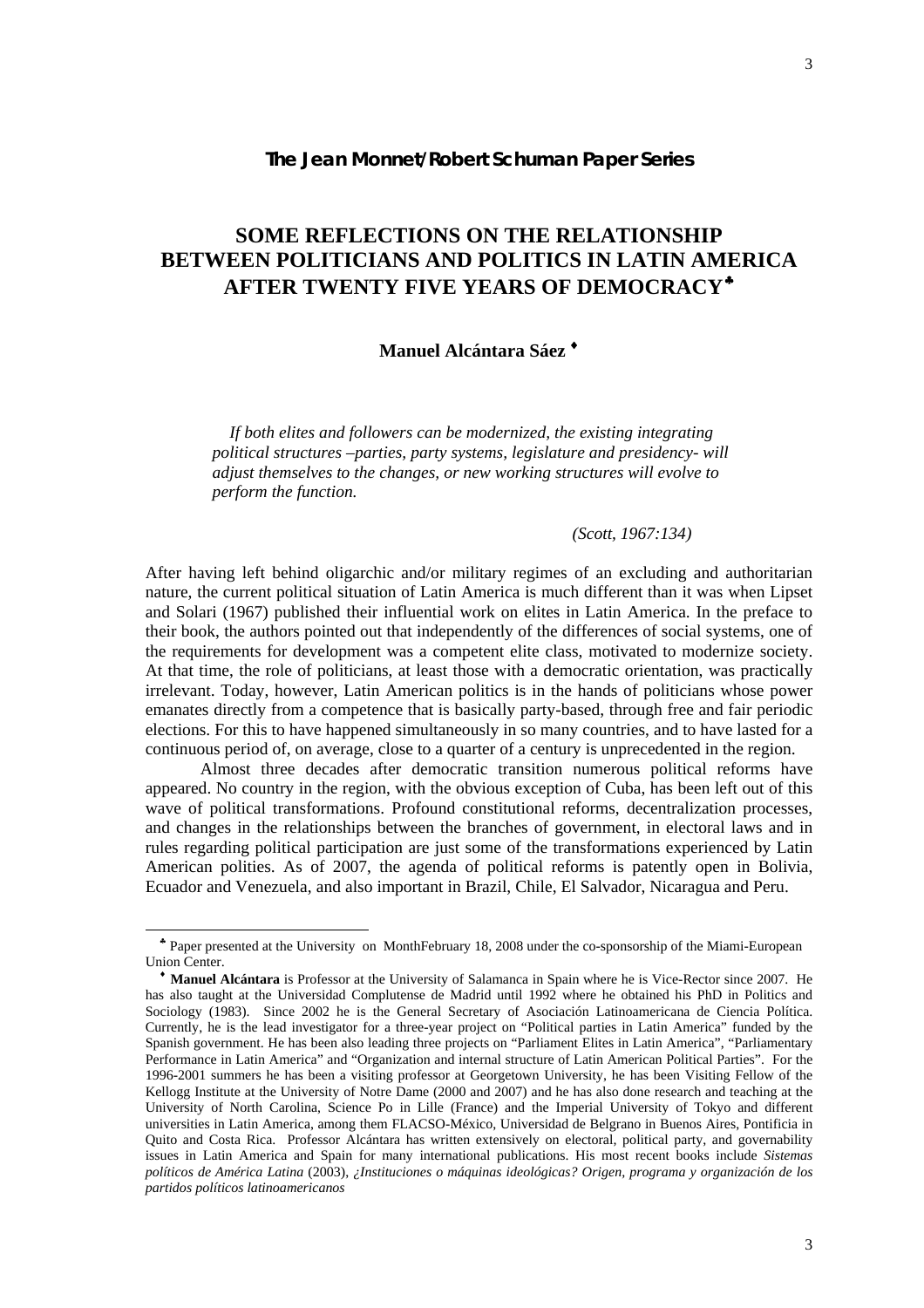## **The Jean Monnet/Robert Schuman Paper Series**

# **SOME REFLECTIONS ON THE RELATIONSHIP BETWEEN POLITICIANS AND POLITICS IN LATIN AMERICA AFTER TWENTY FIVE YEARS OF DEMOCRACY**[♣](#page-2-0)

## **Manuel Alcántara Sáez** [♦](#page-2-1)

 *If both elites and followers can be modernized, the existing integrating political structures –parties, party systems, legislature and presidency- will adjust themselves to the changes, or new working structures will evolve to perform the function.* 

## *(Scott, 1967:134)*

After having left behind oligarchic and/or military regimes of an excluding and authoritarian nature, the current political situation of Latin America is much different than it was when Lipset and Solari (1967) published their influential work on elites in Latin America. In the preface to their book, the authors pointed out that independently of the differences of social systems, one of the requirements for development was a competent elite class, motivated to modernize society. At that time, the role of politicians, at least those with a democratic orientation, was practically irrelevant. Today, however, Latin American politics is in the hands of politicians whose power emanates directly from a competence that is basically party-based, through free and fair periodic elections. For this to have happened simultaneously in so many countries, and to have lasted for a continuous period of, on average, close to a quarter of a century is unprecedented in the region.

Almost three decades after democratic transition numerous political reforms have appeared. No country in the region, with the obvious exception of Cuba, has been left out of this wave of political transformations. Profound constitutional reforms, decentralization processes, and changes in the relationships between the branches of government, in electoral laws and in rules regarding political participation are just some of the transformations experienced by Latin American polities. As of 2007, the agenda of political reforms is patently open in Bolivia, Ecuador and Venezuela, and also important in Brazil, Chile, El Salvador, Nicaragua and Peru.

l

♣ Paper presented at the University on MonthFebruary 18, 2008 under the co-sponsorship of the Miami-European Union Center.

<span id="page-2-1"></span><span id="page-2-0"></span>♦ **Manuel Alcántara** is Professor at the University of Salamanca in Spain where he is Vice-Rector since 2007. He has also taught at the Universidad Complutense de Madrid until 1992 where he obtained his PhD in Politics and Sociology (1983). Since 2002 he is the General Secretary of Asociación Latinoamericana de Ciencia Política. Currently, he is the lead investigator for a three-year project on "Political parties in Latin America" funded by the Spanish government. He has been also leading three projects on "Parliament Elites in Latin America", "Parliamentary Performance in Latin America" and "Organization and internal structure of Latin American Political Parties". For the 1996-2001 summers he has been a visiting professor at Georgetown University, he has been Visiting Fellow of the Kellogg Institute at the University of Notre Dame (2000 and 2007) and he has also done research and teaching at the University of North Carolina, Science Po in Lille (France) and the Imperial University of Tokyo and different universities in Latin America, among them FLACSO-México, Universidad de Belgrano in Buenos Aires, Pontificia in Quito and Costa Rica. Professor Alcántara has written extensively on electoral, political party, and governability issues in Latin America and Spain for many international publications. His most recent books include *Sistemas políticos de América Latina* (2003), *¿Instituciones o máquinas ideológicas? Origen, programa y organización de los partidos políticos latinoamericanos*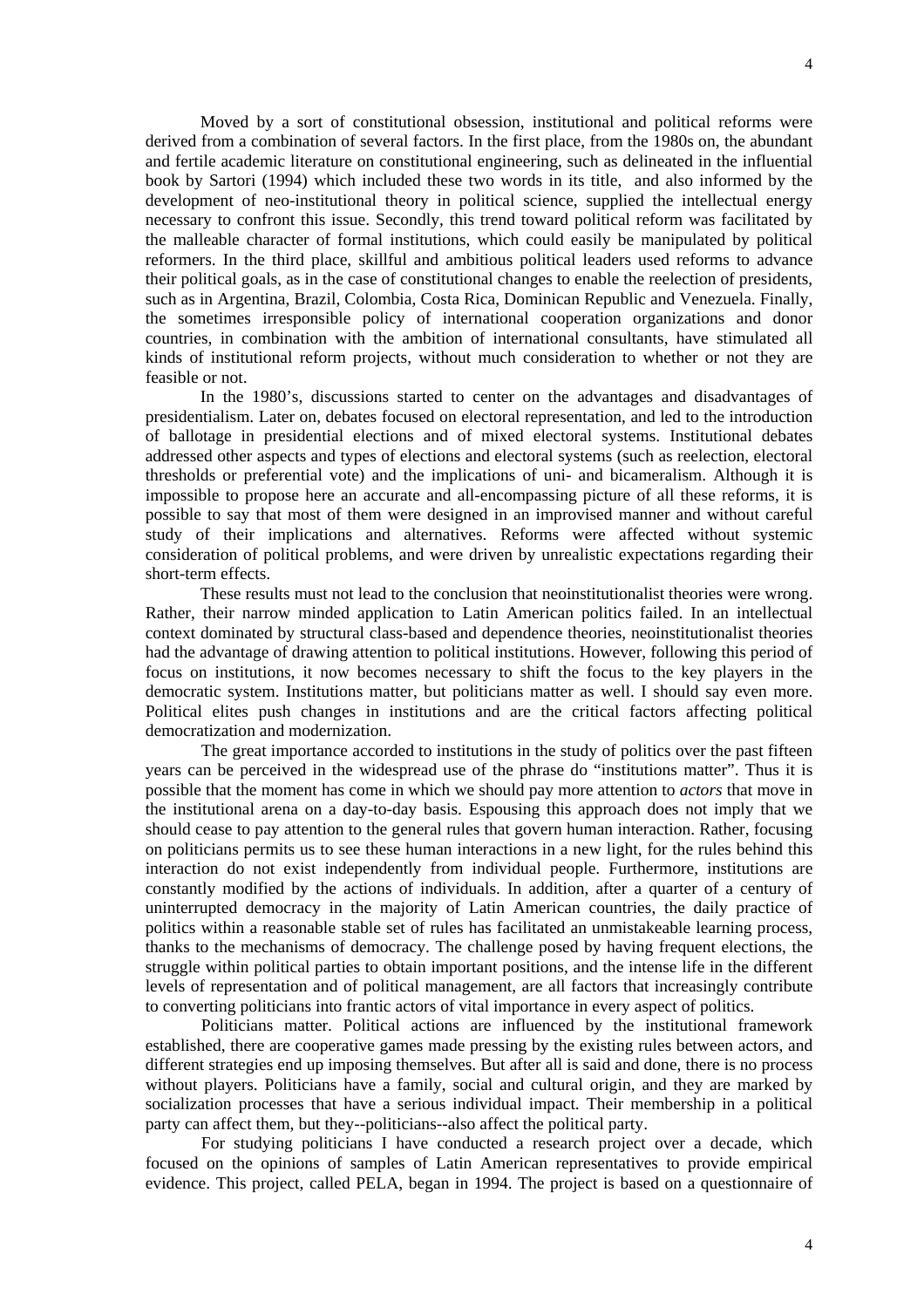Moved by a sort of constitutional obsession, institutional and political reforms were derived from a combination of several factors. In the first place, from the 1980s on, the abundant and fertile academic literature on constitutional engineering, such as delineated in the influential book by Sartori (1994) which included these two words in its title, and also informed by the development of neo-institutional theory in political science, supplied the intellectual energy necessary to confront this issue. Secondly, this trend toward political reform was facilitated by the malleable character of formal institutions, which could easily be manipulated by political reformers. In the third place, skillful and ambitious political leaders used reforms to advance their political goals, as in the case of constitutional changes to enable the reelection of presidents, such as in Argentina, Brazil, Colombia, Costa Rica, Dominican Republic and Venezuela. Finally, the sometimes irresponsible policy of international cooperation organizations and donor countries, in combination with the ambition of international consultants, have stimulated all kinds of institutional reform projects, without much consideration to whether or not they are feasible or not.

In the 1980's, discussions started to center on the advantages and disadvantages of presidentialism. Later on, debates focused on electoral representation, and led to the introduction of ballotage in presidential elections and of mixed electoral systems. Institutional debates addressed other aspects and types of elections and electoral systems (such as reelection, electoral thresholds or preferential vote) and the implications of uni- and bicameralism. Although it is impossible to propose here an accurate and all-encompassing picture of all these reforms, it is possible to say that most of them were designed in an improvised manner and without careful study of their implications and alternatives. Reforms were affected without systemic consideration of political problems, and were driven by unrealistic expectations regarding their short-term effects.

These results must not lead to the conclusion that neoinstitutionalist theories were wrong. Rather, their narrow minded application to Latin American politics failed. In an intellectual context dominated by structural class-based and dependence theories, neoinstitutionalist theories had the advantage of drawing attention to political institutions. However, following this period of focus on institutions, it now becomes necessary to shift the focus to the key players in the democratic system. Institutions matter, but politicians matter as well. I should say even more. Political elites push changes in institutions and are the critical factors affecting political democratization and modernization.

 The great importance accorded to institutions in the study of politics over the past fifteen years can be perceived in the widespread use of the phrase do "institutions matter". Thus it is possible that the moment has come in which we should pay more attention to *actors* that move in the institutional arena on a day-to-day basis. Espousing this approach does not imply that we should cease to pay attention to the general rules that govern human interaction. Rather, focusing on politicians permits us to see these human interactions in a new light, for the rules behind this interaction do not exist independently from individual people. Furthermore, institutions are constantly modified by the actions of individuals. In addition, after a quarter of a century of uninterrupted democracy in the majority of Latin American countries, the daily practice of politics within a reasonable stable set of rules has facilitated an unmistakeable learning process, thanks to the mechanisms of democracy. The challenge posed by having frequent elections, the struggle within political parties to obtain important positions, and the intense life in the different levels of representation and of political management, are all factors that increasingly contribute to converting politicians into frantic actors of vital importance in every aspect of politics.

 Politicians matter. Political actions are influenced by the institutional framework established, there are cooperative games made pressing by the existing rules between actors, and different strategies end up imposing themselves. But after all is said and done, there is no process without players. Politicians have a family, social and cultural origin, and they are marked by socialization processes that have a serious individual impact. Their membership in a political party can affect them, but they--politicians--also affect the political party.

 For studying politicians I have conducted a research project over a decade, which focused on the opinions of samples of Latin American representatives to provide empirical evidence. This project, called PELA, began in 1994. The project is based on a questionnaire of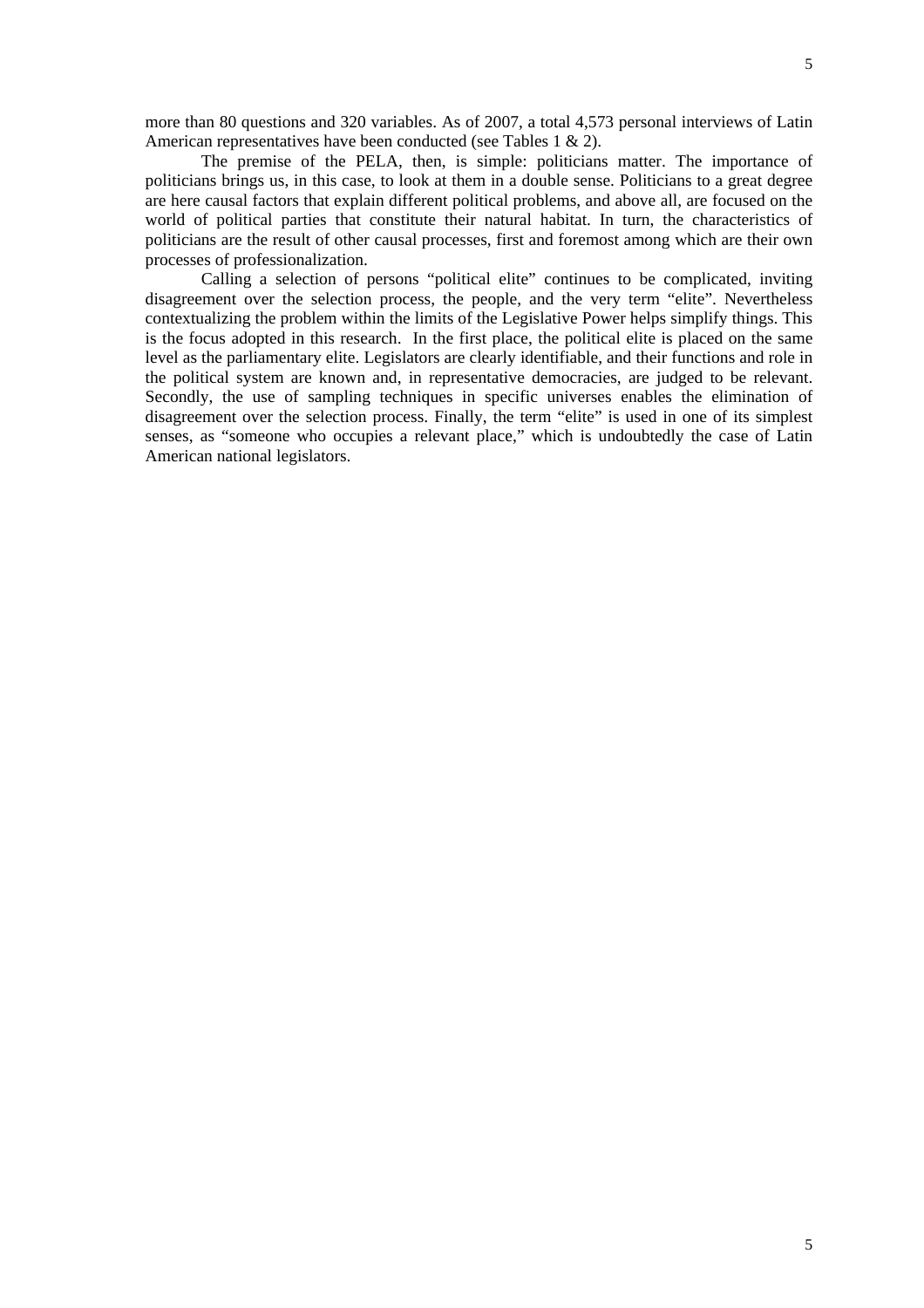more than 80 questions and 320 variables. As of 2007, a total 4,573 personal interviews of Latin American representatives have been conducted (see Tables 1 & 2).

The premise of the PELA, then, is simple: politicians matter. The importance of politicians brings us, in this case, to look at them in a double sense. Politicians to a great degree are here causal factors that explain different political problems, and above all, are focused on the world of political parties that constitute their natural habitat. In turn, the characteristics of politicians are the result of other causal processes, first and foremost among which are their own processes of professionalization.

 Calling a selection of persons "political elite" continues to be complicated, inviting disagreement over the selection process, the people, and the very term "elite". Nevertheless contextualizing the problem within the limits of the Legislative Power helps simplify things. This is the focus adopted in this research. In the first place, the political elite is placed on the same level as the parliamentary elite. Legislators are clearly identifiable, and their functions and role in the political system are known and, in representative democracies, are judged to be relevant. Secondly, the use of sampling techniques in specific universes enables the elimination of disagreement over the selection process. Finally, the term "elite" is used in one of its simplest senses, as "someone who occupies a relevant place," which is undoubtedly the case of Latin American national legislators.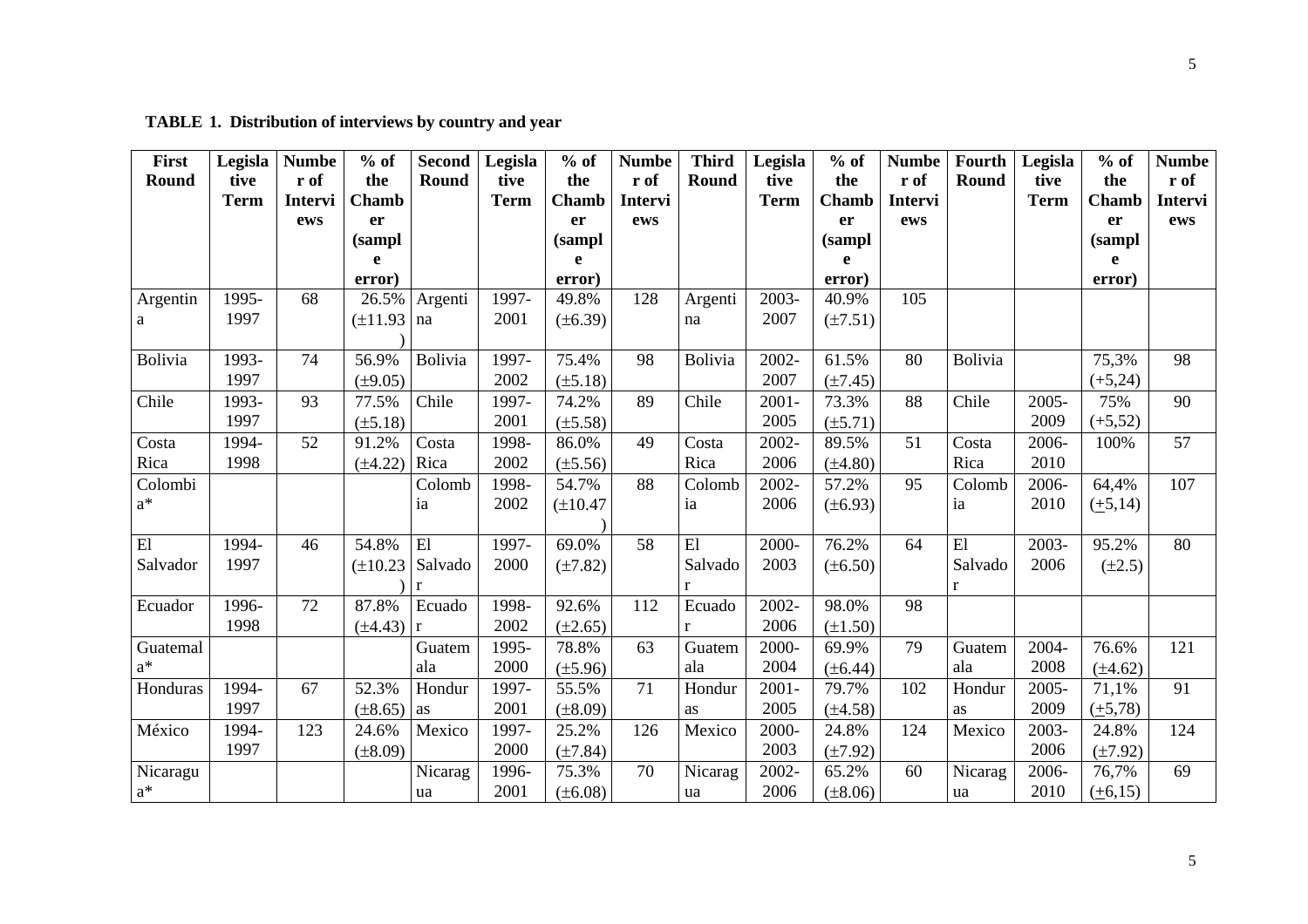**TABLE 1. Distribution of interviews by country and year** 

| First                      | Legisla     | <b>Numbe</b> | $%$ of        | Second       | Legisla     | $%$ of       | <b>Numbe</b>   | <b>Third</b> | Legisla     | $%$ of       | <b>Numbe</b>   | <b>Fourth</b> | Legisla     | $%$ of        | <b>Numbe</b>   |
|----------------------------|-------------|--------------|---------------|--------------|-------------|--------------|----------------|--------------|-------------|--------------|----------------|---------------|-------------|---------------|----------------|
| Round                      | tive        | r of         | the           | Round        | tive        | the          | r of           | Round        | tive        | the          | r of           | <b>Round</b>  | tive        | the           | r of           |
|                            | <b>Term</b> | Intervi      | <b>Chamb</b>  |              | <b>Term</b> | <b>Chamb</b> | <b>Intervi</b> |              | <b>Term</b> | <b>Chamb</b> | <b>Intervi</b> |               | <b>Term</b> | <b>Chamb</b>  | <b>Intervi</b> |
|                            |             | ews          | er            |              |             | <b>er</b>    | ews            |              |             | er           | ews            |               |             | er            | ews            |
|                            |             |              | (sampl        |              |             | (sampl       |                |              |             | (sampl       |                |               |             | (sampl        |                |
|                            |             |              | e             |              |             | e            |                |              |             | e            |                |               |             | e             |                |
|                            |             |              | error)        |              |             | error)       |                |              |             | error)       |                |               |             | error)        |                |
| Argentin                   | 1995-       | 68           | 26.5%         | Argenti      | 1997-       | 49.8%        | 128            | Argenti      | 2003-       | 40.9%        | 105            |               |             |               |                |
| a                          | 1997        |              | $(\pm 11.93)$ | na           | 2001        | $(\pm 6.39)$ |                | na           | 2007        | $(\pm 7.51)$ |                |               |             |               |                |
|                            |             |              |               |              |             |              |                |              |             |              |                |               |             |               |                |
| Bolivia                    | 1993-       | 74           | 56.9%         | Bolivia      | 1997-       | 75.4%        | 98             | Bolivia      | $2002 -$    | 61.5%        | 80             | Bolivia       |             | 75,3%         | 98             |
|                            | 1997        |              | $(\pm 9.05)$  |              | 2002        | $(\pm 5.18)$ |                |              | 2007        | $(\pm 7.45)$ |                |               |             | $(+5,24)$     |                |
| Chile                      | 1993-       | 93           | 77.5%         | Chile        | 1997-       | 74.2%        | 89             | Chile        | $2001 -$    | 73.3%        | 88             | Chile         | 2005-       | 75%           | 90             |
|                            | 1997        |              | $(\pm 5.18)$  |              | 2001        | $(\pm 5.58)$ |                |              | 2005        | $(\pm 5.71)$ |                |               | 2009        | $(+5,52)$     |                |
| Costa                      | 1994-       | 52           | 91.2%         | Costa        | 1998-       | 86.0%        | 49             | Costa        | 2002-       | 89.5%        | 51             | Costa         | 2006-       | 100%          | 57             |
| Rica                       | 1998        |              | $(\pm 4.22)$  | Rica         | 2002        | $(\pm 5.56)$ |                | Rica         | 2006        | $(\pm 4.80)$ |                | Rica          | 2010        |               |                |
| Colombi                    |             |              |               | Colomb       | 1998-       | 54.7%        | 88             | Colomb       | 2002-       | 57.2%        | 95             | Colomb        | 2006-       | 64,4%         | 107            |
| $a^*$                      |             |              |               | ia           | 2002        | $(\pm 10.47$ |                | ia           | 2006        | $(\pm 6.93)$ |                | ia            | 2010        | $(\pm 5, 14)$ |                |
|                            |             |              |               |              |             |              |                |              |             |              |                |               |             |               |                |
| $\mathop{\rm El}\nolimits$ | 1994-       | 46           | 54.8%         | E1           | 1997-       | 69.0%        | 58             | E1           | 2000-       | 76.2%        | 64             | E1            | 2003-       | 95.2%         | 80             |
| Salvador                   | 1997        |              | $(\pm 10.23)$ | Salvado      | 2000        | $(\pm 7.82)$ |                | Salvado      | 2003        | $(\pm 6.50)$ |                | Salvado       | 2006        | $(\pm 2.5)$   |                |
|                            |             |              |               | r            |             |              |                | r            |             |              |                | $\mathbf{r}$  |             |               |                |
| Ecuador                    | 1996-       | 72           | 87.8%         | Ecuado       | 1998-       | 92.6%        | 112            | Ecuado       | 2002-       | 98.0%        | 98             |               |             |               |                |
|                            | 1998        |              | $(\pm 4.43)$  | $\mathbf{r}$ | 2002        | $(\pm 2.65)$ |                | $\mathbf{r}$ | 2006        | $(\pm 1.50)$ |                |               |             |               |                |
| Guatemal                   |             |              |               | Guatem       | 1995-       | 78.8%        | 63             | Guatem       | 2000-       | 69.9%        | 79             | Guatem        | 2004-       | 76.6%         | 121            |
| $\mathrm{a}^*$             |             |              |               | ala          | 2000        | $(\pm 5.96)$ |                | ala          | 2004        | $(\pm 6.44)$ |                | ala           | 2008        | $(\pm 4.62)$  |                |
| Honduras                   | 1994-       | 67           | 52.3%         | Hondur       | 1997-       | 55.5%        | 71             | Hondur       | $2001 -$    | 79.7%        | 102            | Hondur        | $2005 -$    | 71,1%         | 91             |
|                            | 1997        |              | $(\pm 8.65)$  | as           | 2001        | $(\pm 8.09)$ |                | as           | 2005        | $(\pm 4.58)$ |                | as            | 2009        | $(\pm 5, 78)$ |                |
| México                     | 1994-       | 123          | 24.6%         | Mexico       | 1997-       | 25.2%        | 126            | Mexico       | 2000-       | 24.8%        | 124            | Mexico        | 2003-       | 24.8%         | 124            |
|                            | 1997        |              | $(\pm 8.09)$  |              | 2000        | $(\pm 7.84)$ |                |              | 2003        | $(\pm 7.92)$ |                |               | 2006        | $(\pm 7.92)$  |                |
| Nicaragu                   |             |              |               | Nicarag      | 1996-       | 75.3%        | 70             | Nicarag      | 2002-       | 65.2%        | 60             | Nicarag       | 2006-       | 76,7%         | 69             |
| $\mathrm{a}^*$             |             |              |               | ua           | 2001        | $(\pm 6.08)$ |                | ua           | 2006        | $(\pm 8.06)$ |                | ua            | 2010        | $(\pm 6, 15)$ |                |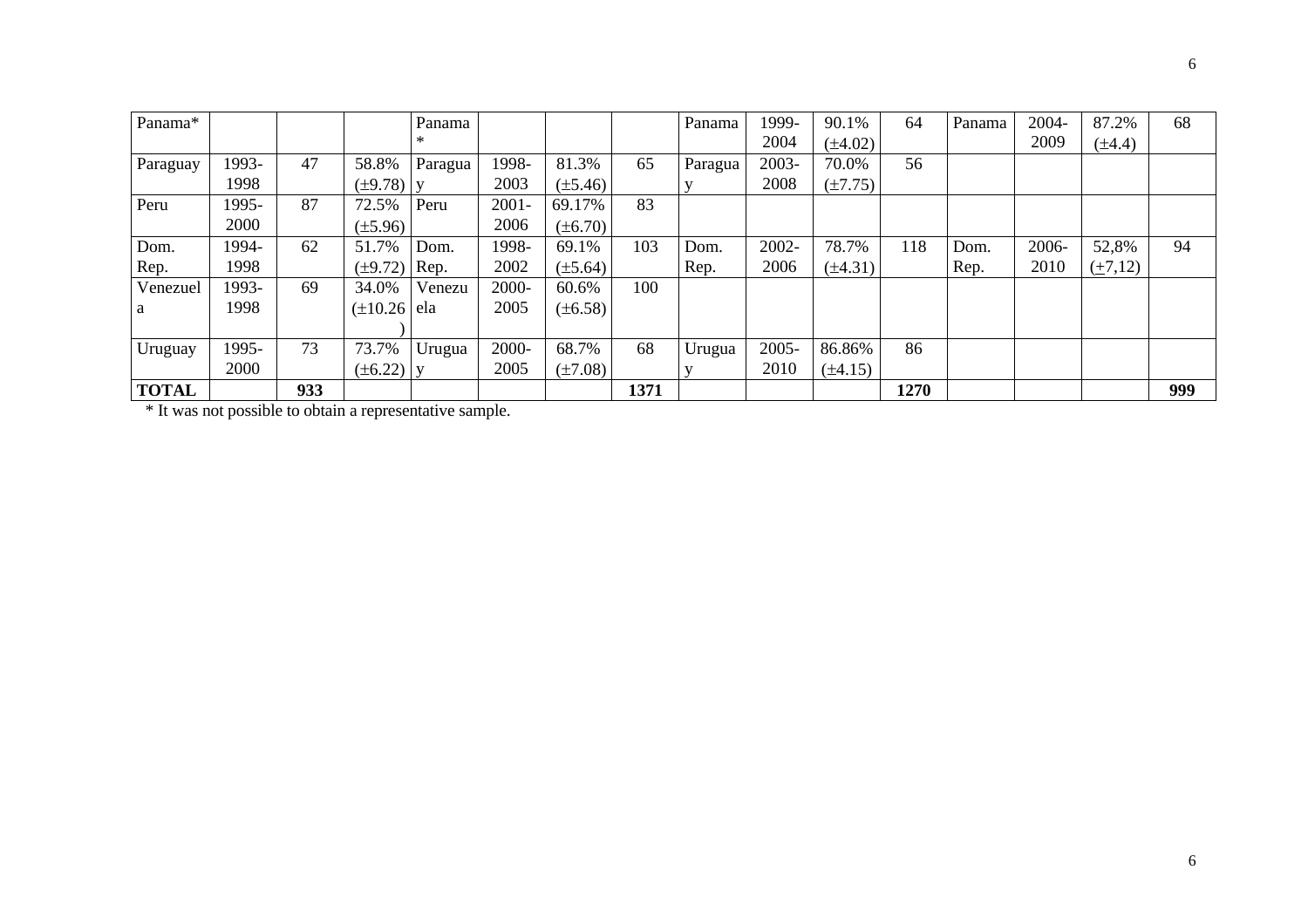| Panama*      |       |     |                   | Panama  |          |              |      | Panama  | 1999- | 90.1%        | 64   | Panama | 2004- | 87.2%       | 68  |
|--------------|-------|-----|-------------------|---------|----------|--------------|------|---------|-------|--------------|------|--------|-------|-------------|-----|
|              |       |     |                   | ∗       |          |              |      |         | 2004  | $(\pm 4.02)$ |      |        | 2009  | $(\pm 4.4)$ |     |
| Paraguay     | 1993- | 47  | 58.8%             | Paragua | 1998-    | 81.3%        | 65   | Paragua | 2003- | 70.0%        | 56   |        |       |             |     |
|              | 1998  |     | $(\pm 9.78)$ y    |         | 2003     | $(\pm 5.46)$ |      |         | 2008  | $(\pm 7.75)$ |      |        |       |             |     |
| Peru         | 1995- | 87  | 72.5%             | Peru    | $2001 -$ | 69.17%       | 83   |         |       |              |      |        |       |             |     |
|              | 2000  |     | $(\pm 5.96)$      |         | 2006     | $(\pm 6.70)$ |      |         |       |              |      |        |       |             |     |
| Dom.         | 1994- | 62  | 51.7%             | Dom.    | 1998-    | 69.1%        | 103  | Dom.    | 2002- | 78.7%        | 118  | Dom.   | 2006- | 52,8%       | 94  |
| Rep.         | 1998  |     | $(\pm 9.72)$ Rep. |         | 2002     | $(\pm 5.64)$ |      | Rep.    | 2006  | $(\pm 4.31)$ |      | Rep.   | 2010  | (1,12)      |     |
| Venezuel     | 1993- | 69  | 34.0%             | Venezu  | 2000-    | 60.6%        | 100  |         |       |              |      |        |       |             |     |
| a            | 1998  |     | $(\pm 10.26)$ ela |         | 2005     | $(\pm 6.58)$ |      |         |       |              |      |        |       |             |     |
|              |       |     |                   |         |          |              |      |         |       |              |      |        |       |             |     |
| Uruguay      | 1995- | 73  | 73.7%             | Urugua  | 2000-    | 68.7%        | 68   | Urugua  | 2005- | 86.86%       | 86   |        |       |             |     |
|              | 2000  |     | $(\pm 6.22)$ y    |         | 2005     | $(\pm 7.08)$ |      |         | 2010  | $(\pm 4.15)$ |      |        |       |             |     |
| <b>TOTAL</b> |       | 933 |                   |         |          |              | 1371 |         |       |              | 1270 |        |       |             | 999 |

\* It was not possible to obtain a representative sample.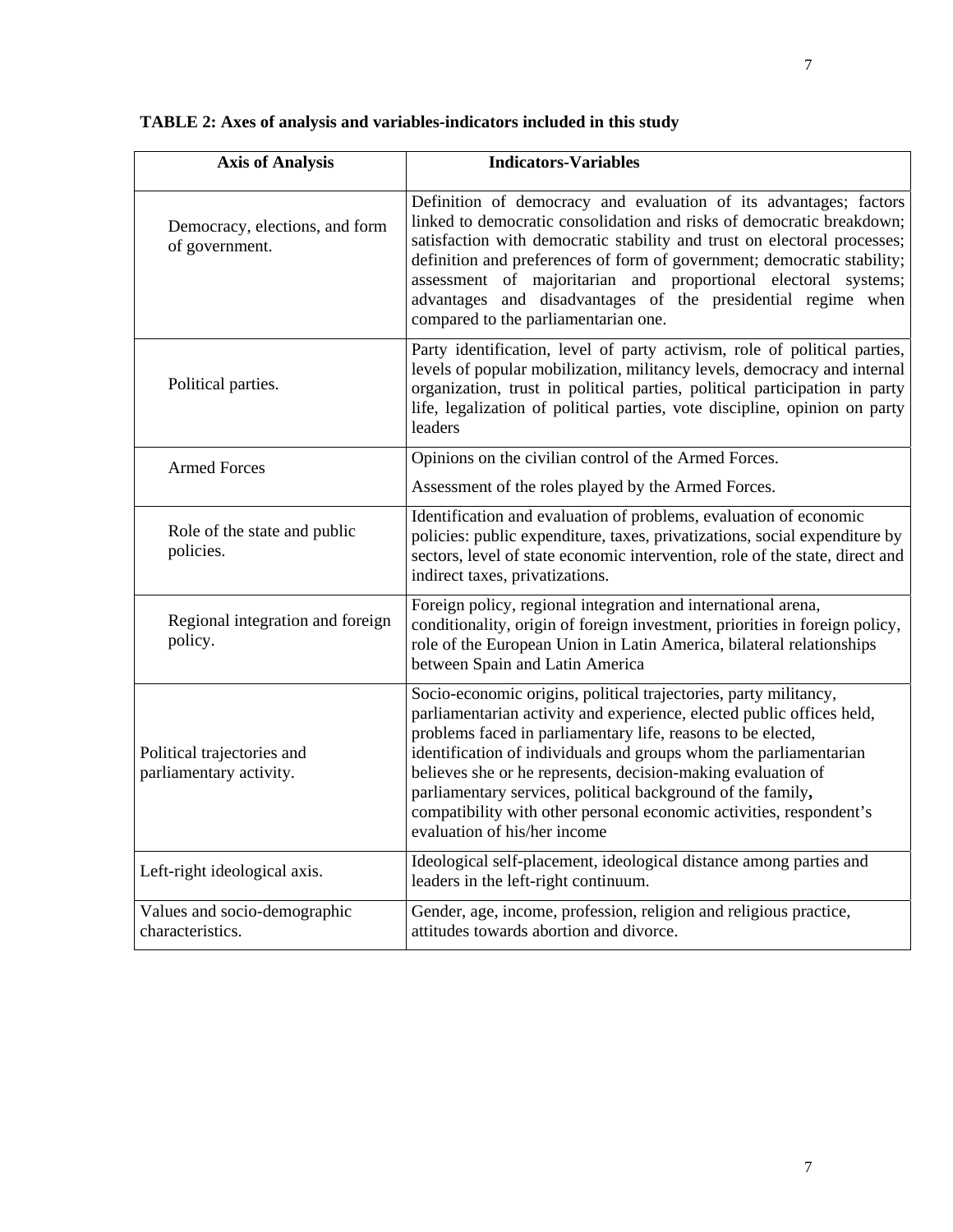| <b>Axis of Analysis</b>                               | <b>Indicators-Variables</b>                                                                                                                                                                                                                                                                                                                                                                                                                                                                                          |  |  |  |  |  |
|-------------------------------------------------------|----------------------------------------------------------------------------------------------------------------------------------------------------------------------------------------------------------------------------------------------------------------------------------------------------------------------------------------------------------------------------------------------------------------------------------------------------------------------------------------------------------------------|--|--|--|--|--|
| Democracy, elections, and form<br>of government.      | Definition of democracy and evaluation of its advantages; factors<br>linked to democratic consolidation and risks of democratic breakdown;<br>satisfaction with democratic stability and trust on electoral processes;<br>definition and preferences of form of government; democratic stability;<br>assessment of majoritarian and proportional electoral systems;<br>advantages and disadvantages of the presidential regime when<br>compared to the parliamentarian one.                                          |  |  |  |  |  |
| Political parties.                                    | Party identification, level of party activism, role of political parties,<br>levels of popular mobilization, militancy levels, democracy and internal<br>organization, trust in political parties, political participation in party<br>life, legalization of political parties, vote discipline, opinion on party<br>leaders                                                                                                                                                                                         |  |  |  |  |  |
| <b>Armed Forces</b>                                   | Opinions on the civilian control of the Armed Forces.                                                                                                                                                                                                                                                                                                                                                                                                                                                                |  |  |  |  |  |
|                                                       | Assessment of the roles played by the Armed Forces.                                                                                                                                                                                                                                                                                                                                                                                                                                                                  |  |  |  |  |  |
| Role of the state and public<br>policies.             | Identification and evaluation of problems, evaluation of economic<br>policies: public expenditure, taxes, privatizations, social expenditure by<br>sectors, level of state economic intervention, role of the state, direct and<br>indirect taxes, privatizations.                                                                                                                                                                                                                                                   |  |  |  |  |  |
| Regional integration and foreign<br>policy.           | Foreign policy, regional integration and international arena,<br>conditionality, origin of foreign investment, priorities in foreign policy,<br>role of the European Union in Latin America, bilateral relationships<br>between Spain and Latin America                                                                                                                                                                                                                                                              |  |  |  |  |  |
| Political trajectories and<br>parliamentary activity. | Socio-economic origins, political trajectories, party militancy,<br>parliamentarian activity and experience, elected public offices held,<br>problems faced in parliamentary life, reasons to be elected,<br>identification of individuals and groups whom the parliamentarian<br>believes she or he represents, decision-making evaluation of<br>parliamentary services, political background of the family,<br>compatibility with other personal economic activities, respondent's<br>evaluation of his/her income |  |  |  |  |  |
| Left-right ideological axis.                          | Ideological self-placement, ideological distance among parties and<br>leaders in the left-right continuum.                                                                                                                                                                                                                                                                                                                                                                                                           |  |  |  |  |  |
| Values and socio-demographic<br>characteristics.      | Gender, age, income, profession, religion and religious practice,<br>attitudes towards abortion and divorce.                                                                                                                                                                                                                                                                                                                                                                                                         |  |  |  |  |  |

# **TABLE 2: Axes of analysis and variables-indicators included in this study**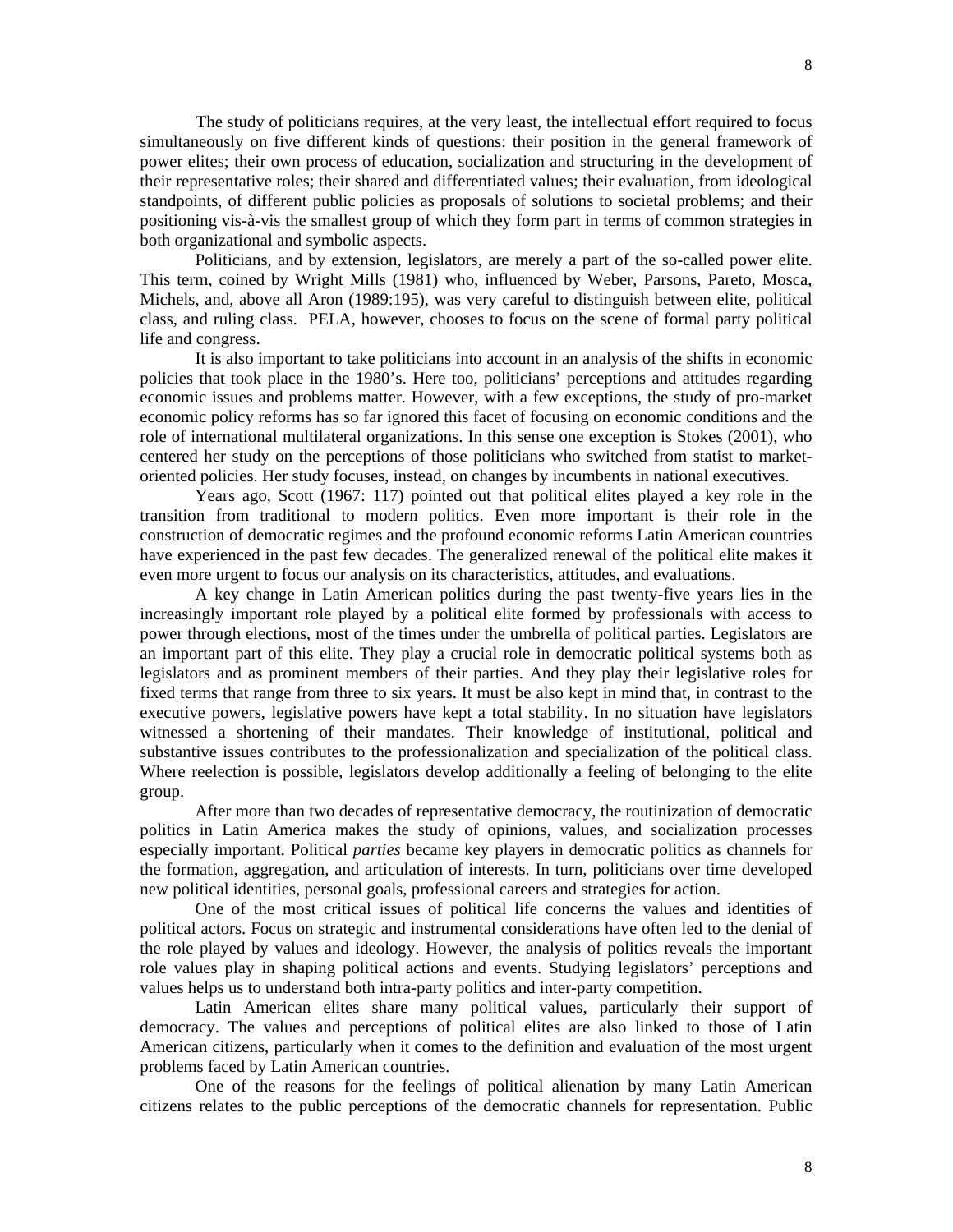The study of politicians requires, at the very least, the intellectual effort required to focus simultaneously on five different kinds of questions: their position in the general framework of power elites; their own process of education, socialization and structuring in the development of their representative roles; their shared and differentiated values; their evaluation, from ideological standpoints, of different public policies as proposals of solutions to societal problems; and their positioning vis-à-vis the smallest group of which they form part in terms of common strategies in both organizational and symbolic aspects.

Politicians, and by extension, legislators, are merely a part of the so-called power elite. This term, coined by Wright Mills (1981) who, influenced by Weber, Parsons, Pareto, Mosca, Michels, and, above all Aron (1989:195), was very careful to distinguish between elite, political class, and ruling class. PELA, however, chooses to focus on the scene of formal party political life and congress.

It is also important to take politicians into account in an analysis of the shifts in economic policies that took place in the 1980's. Here too, politicians' perceptions and attitudes regarding economic issues and problems matter. However, with a few exceptions, the study of pro-market economic policy reforms has so far ignored this facet of focusing on economic conditions and the role of international multilateral organizations. In this sense one exception is Stokes (2001), who centered her study on the perceptions of those politicians who switched from statist to marketoriented policies. Her study focuses, instead, on changes by incumbents in national executives.

Years ago, Scott (1967: 117) pointed out that political elites played a key role in the transition from traditional to modern politics. Even more important is their role in the construction of democratic regimes and the profound economic reforms Latin American countries have experienced in the past few decades. The generalized renewal of the political elite makes it even more urgent to focus our analysis on its characteristics, attitudes, and evaluations.

A key change in Latin American politics during the past twenty-five years lies in the increasingly important role played by a political elite formed by professionals with access to power through elections, most of the times under the umbrella of political parties. Legislators are an important part of this elite. They play a crucial role in democratic political systems both as legislators and as prominent members of their parties. And they play their legislative roles for fixed terms that range from three to six years. It must be also kept in mind that, in contrast to the executive powers, legislative powers have kept a total stability. In no situation have legislators witnessed a shortening of their mandates. Their knowledge of institutional, political and substantive issues contributes to the professionalization and specialization of the political class. Where reelection is possible, legislators develop additionally a feeling of belonging to the elite group.

After more than two decades of representative democracy, the routinization of democratic politics in Latin America makes the study of opinions, values, and socialization processes especially important. Political *parties* became key players in democratic politics as channels for the formation, aggregation, and articulation of interests. In turn, politicians over time developed new political identities, personal goals, professional careers and strategies for action.

One of the most critical issues of political life concerns the values and identities of political actors. Focus on strategic and instrumental considerations have often led to the denial of the role played by values and ideology. However, the analysis of politics reveals the important role values play in shaping political actions and events. Studying legislators' perceptions and values helps us to understand both intra-party politics and inter-party competition.

Latin American elites share many political values, particularly their support of democracy. The values and perceptions of political elites are also linked to those of Latin American citizens, particularly when it comes to the definition and evaluation of the most urgent problems faced by Latin American countries.

One of the reasons for the feelings of political alienation by many Latin American citizens relates to the public perceptions of the democratic channels for representation. Public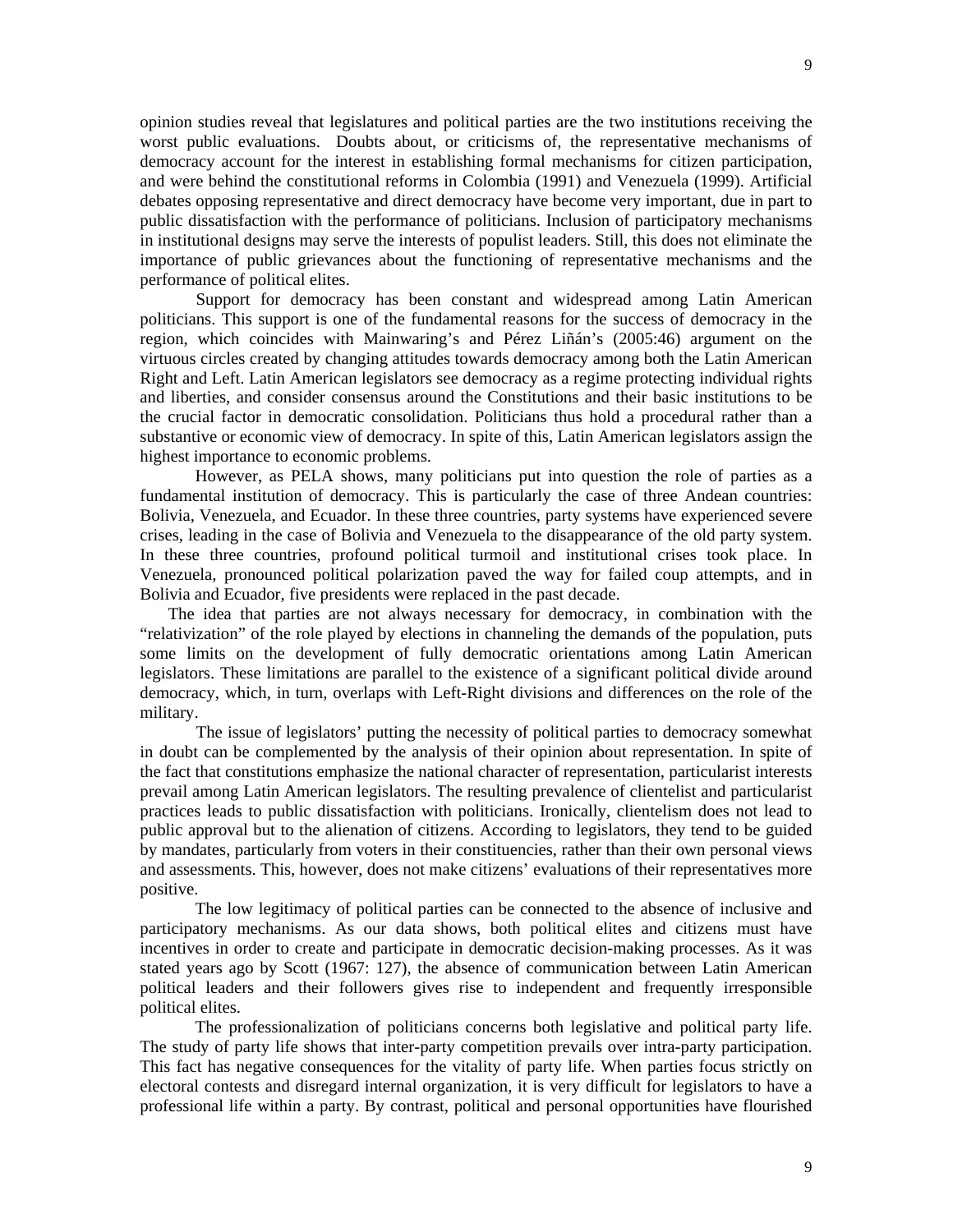opinion studies reveal that legislatures and political parties are the two institutions receiving the worst public evaluations. Doubts about, or criticisms of, the representative mechanisms of democracy account for the interest in establishing formal mechanisms for citizen participation, and were behind the constitutional reforms in Colombia (1991) and Venezuela (1999). Artificial debates opposing representative and direct democracy have become very important, due in part to public dissatisfaction with the performance of politicians. Inclusion of participatory mechanisms in institutional designs may serve the interests of populist leaders. Still, this does not eliminate the importance of public grievances about the functioning of representative mechanisms and the performance of political elites.

 Support for democracy has been constant and widespread among Latin American politicians. This support is one of the fundamental reasons for the success of democracy in the region, which coincides with Mainwaring's and Pérez Liñán's (2005:46) argument on the virtuous circles created by changing attitudes towards democracy among both the Latin American Right and Left. Latin American legislators see democracy as a regime protecting individual rights and liberties, and consider consensus around the Constitutions and their basic institutions to be the crucial factor in democratic consolidation. Politicians thus hold a procedural rather than a substantive or economic view of democracy. In spite of this, Latin American legislators assign the highest importance to economic problems.

However, as PELA shows, many politicians put into question the role of parties as a fundamental institution of democracy. This is particularly the case of three Andean countries: Bolivia, Venezuela, and Ecuador. In these three countries, party systems have experienced severe crises, leading in the case of Bolivia and Venezuela to the disappearance of the old party system. In these three countries, profound political turmoil and institutional crises took place. In Venezuela, pronounced political polarization paved the way for failed coup attempts, and in Bolivia and Ecuador, five presidents were replaced in the past decade.

The idea that parties are not always necessary for democracy, in combination with the "relativization" of the role played by elections in channeling the demands of the population, puts some limits on the development of fully democratic orientations among Latin American legislators. These limitations are parallel to the existence of a significant political divide around democracy, which, in turn, overlaps with Left-Right divisions and differences on the role of the military.

 The issue of legislators' putting the necessity of political parties to democracy somewhat in doubt can be complemented by the analysis of their opinion about representation. In spite of the fact that constitutions emphasize the national character of representation, particularist interests prevail among Latin American legislators. The resulting prevalence of clientelist and particularist practices leads to public dissatisfaction with politicians. Ironically, clientelism does not lead to public approval but to the alienation of citizens. According to legislators, they tend to be guided by mandates, particularly from voters in their constituencies, rather than their own personal views and assessments. This, however, does not make citizens' evaluations of their representatives more positive.

The low legitimacy of political parties can be connected to the absence of inclusive and participatory mechanisms. As our data shows, both political elites and citizens must have incentives in order to create and participate in democratic decision-making processes. As it was stated years ago by Scott (1967: 127), the absence of communication between Latin American political leaders and their followers gives rise to independent and frequently irresponsible political elites.

The professionalization of politicians concerns both legislative and political party life. The study of party life shows that inter-party competition prevails over intra-party participation. This fact has negative consequences for the vitality of party life. When parties focus strictly on electoral contests and disregard internal organization, it is very difficult for legislators to have a professional life within a party. By contrast, political and personal opportunities have flourished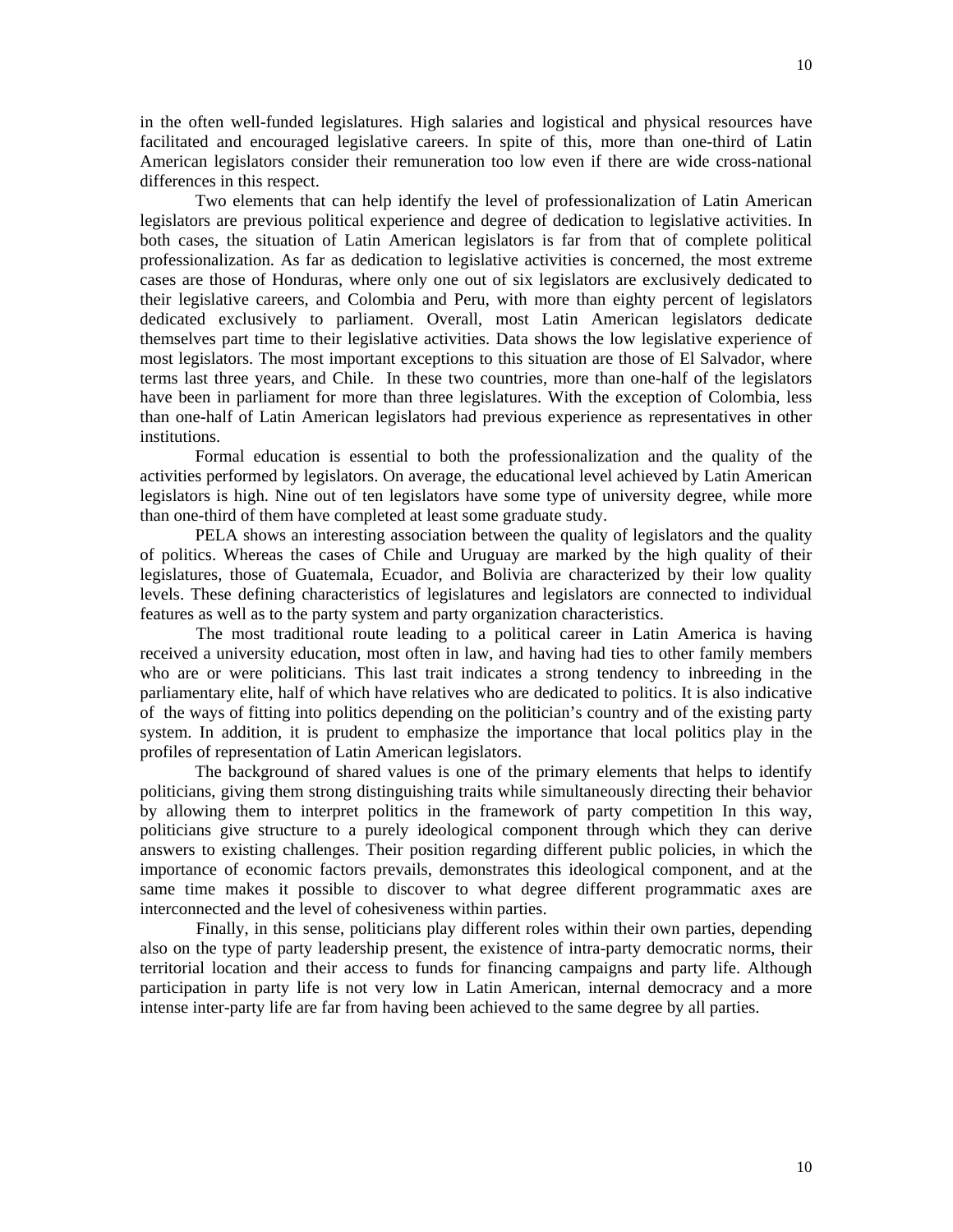in the often well-funded legislatures. High salaries and logistical and physical resources have facilitated and encouraged legislative careers. In spite of this, more than one-third of Latin American legislators consider their remuneration too low even if there are wide cross-national differences in this respect.

Two elements that can help identify the level of professionalization of Latin American legislators are previous political experience and degree of dedication to legislative activities. In both cases, the situation of Latin American legislators is far from that of complete political professionalization. As far as dedication to legislative activities is concerned, the most extreme cases are those of Honduras, where only one out of six legislators are exclusively dedicated to their legislative careers, and Colombia and Peru, with more than eighty percent of legislators dedicated exclusively to parliament. Overall, most Latin American legislators dedicate themselves part time to their legislative activities. Data shows the low legislative experience of most legislators. The most important exceptions to this situation are those of El Salvador, where terms last three years, and Chile. In these two countries, more than one-half of the legislators have been in parliament for more than three legislatures. With the exception of Colombia, less than one-half of Latin American legislators had previous experience as representatives in other institutions.

Formal education is essential to both the professionalization and the quality of the activities performed by legislators. On average, the educational level achieved by Latin American legislators is high. Nine out of ten legislators have some type of university degree, while more than one-third of them have completed at least some graduate study.

PELA shows an interesting association between the quality of legislators and the quality of politics. Whereas the cases of Chile and Uruguay are marked by the high quality of their legislatures, those of Guatemala, Ecuador, and Bolivia are characterized by their low quality levels. These defining characteristics of legislatures and legislators are connected to individual features as well as to the party system and party organization characteristics.

 The most traditional route leading to a political career in Latin America is having received a university education, most often in law, and having had ties to other family members who are or were politicians. This last trait indicates a strong tendency to inbreeding in the parliamentary elite, half of which have relatives who are dedicated to politics. It is also indicative of the ways of fitting into politics depending on the politician's country and of the existing party system. In addition, it is prudent to emphasize the importance that local politics play in the profiles of representation of Latin American legislators.

The background of shared values is one of the primary elements that helps to identify politicians, giving them strong distinguishing traits while simultaneously directing their behavior by allowing them to interpret politics in the framework of party competition In this way, politicians give structure to a purely ideological component through which they can derive answers to existing challenges. Their position regarding different public policies, in which the importance of economic factors prevails, demonstrates this ideological component, and at the same time makes it possible to discover to what degree different programmatic axes are interconnected and the level of cohesiveness within parties.

 Finally, in this sense, politicians play different roles within their own parties, depending also on the type of party leadership present, the existence of intra-party democratic norms, their territorial location and their access to funds for financing campaigns and party life. Although participation in party life is not very low in Latin American, internal democracy and a more intense inter-party life are far from having been achieved to the same degree by all parties.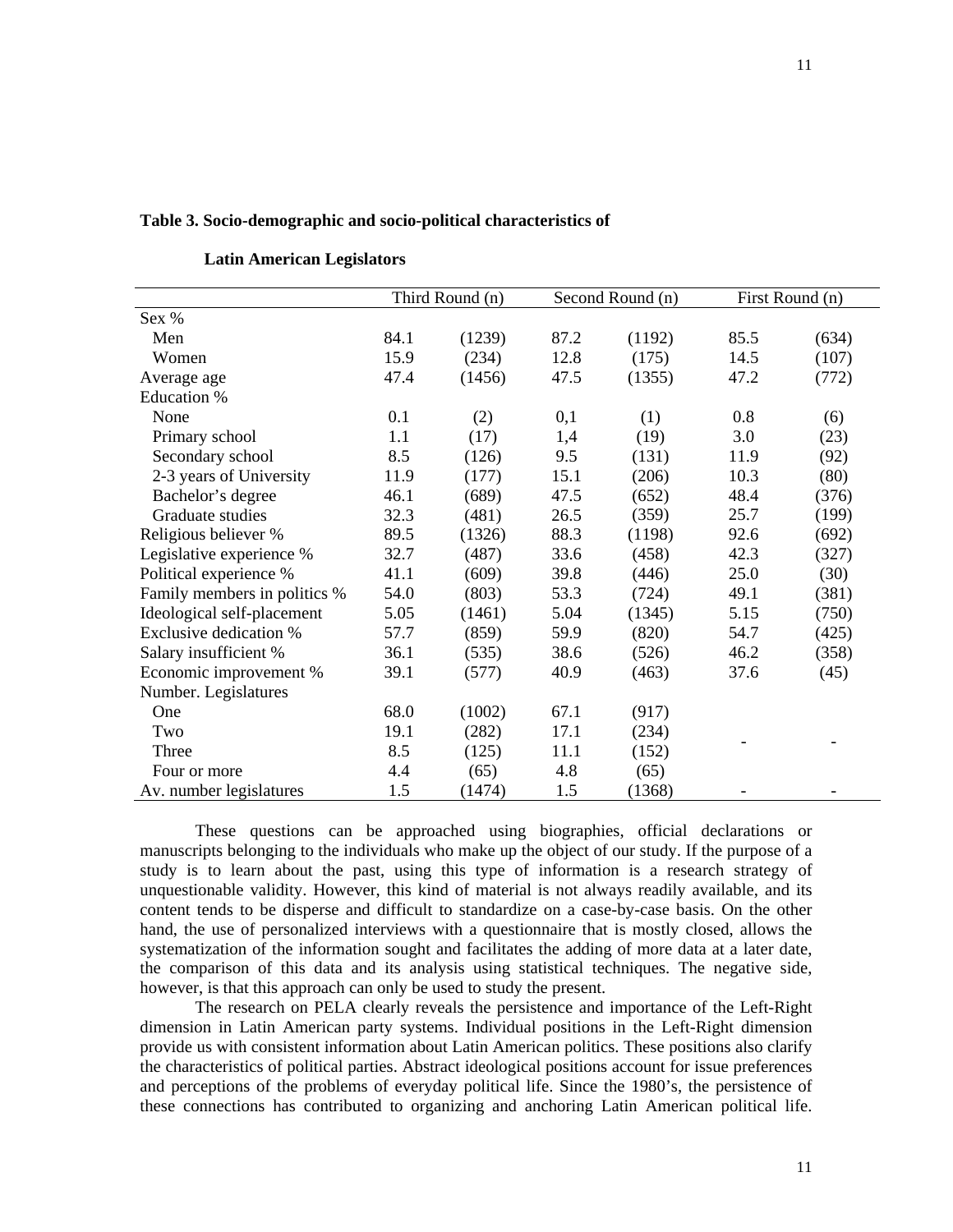#### **Table 3. Socio-demographic and socio-political characteristics of**

|                               |      | Third Round (n) |      | Second Round (n) |      | First Round (n) |
|-------------------------------|------|-----------------|------|------------------|------|-----------------|
| Sex %                         |      |                 |      |                  |      |                 |
| Men                           | 84.1 | (1239)          | 87.2 | (1192)           | 85.5 | (634)           |
| Women                         | 15.9 | (234)           | 12.8 | (175)            | 14.5 | (107)           |
| Average age                   | 47.4 | (1456)          | 47.5 | (1355)           | 47.2 | (772)           |
| <b>Education %</b>            |      |                 |      |                  |      |                 |
| None                          | 0.1  | (2)             | 0,1  | (1)              | 0.8  | (6)             |
| Primary school                | 1.1  | (17)            | 1,4  | (19)             | 3.0  | (23)            |
| Secondary school              | 8.5  | (126)           | 9.5  | (131)            | 11.9 | (92)            |
| 2-3 years of University       | 11.9 | (177)           | 15.1 | (206)            | 10.3 | (80)            |
| Bachelor's degree             | 46.1 | (689)           | 47.5 | (652)            | 48.4 | (376)           |
| Graduate studies              | 32.3 | (481)           | 26.5 | (359)            | 25.7 | (199)           |
| Religious believer %          | 89.5 | (1326)          | 88.3 | (1198)           | 92.6 | (692)           |
| Legislative experience %      | 32.7 | (487)           | 33.6 | (458)            | 42.3 | (327)           |
| Political experience %        | 41.1 | (609)           | 39.8 | (446)            | 25.0 | (30)            |
| Family members in politics %  | 54.0 | (803)           | 53.3 | (724)            | 49.1 | (381)           |
| Ideological self-placement    | 5.05 | (1461)          | 5.04 | (1345)           | 5.15 | (750)           |
| <b>Exclusive dedication %</b> | 57.7 | (859)           | 59.9 | (820)            | 54.7 | (425)           |
| Salary insufficient %         | 36.1 | (535)           | 38.6 | (526)            | 46.2 | (358)           |
| Economic improvement %        | 39.1 | (577)           | 40.9 | (463)            | 37.6 | (45)            |
| Number. Legislatures          |      |                 |      |                  |      |                 |
| One                           | 68.0 | (1002)          | 67.1 | (917)            |      |                 |
| Two                           | 19.1 | (282)           | 17.1 | (234)            |      |                 |
| Three                         | 8.5  | (125)           | 11.1 | (152)            |      |                 |
| Four or more                  | 4.4  | (65)            | 4.8  | (65)             |      |                 |
| Av. number legislatures       | 1.5  | (1474)          | 1.5  | (1368)           |      |                 |

|  |  | <b>Latin American Legislators</b> |
|--|--|-----------------------------------|
|--|--|-----------------------------------|

These questions can be approached using biographies, official declarations or manuscripts belonging to the individuals who make up the object of our study. If the purpose of a study is to learn about the past, using this type of information is a research strategy of unquestionable validity. However, this kind of material is not always readily available, and its content tends to be disperse and difficult to standardize on a case-by-case basis. On the other hand, the use of personalized interviews with a questionnaire that is mostly closed, allows the systematization of the information sought and facilitates the adding of more data at a later date, the comparison of this data and its analysis using statistical techniques. The negative side, however, is that this approach can only be used to study the present.

The research on PELA clearly reveals the persistence and importance of the Left-Right dimension in Latin American party systems. Individual positions in the Left-Right dimension provide us with consistent information about Latin American politics. These positions also clarify the characteristics of political parties. Abstract ideological positions account for issue preferences and perceptions of the problems of everyday political life. Since the 1980's, the persistence of these connections has contributed to organizing and anchoring Latin American political life.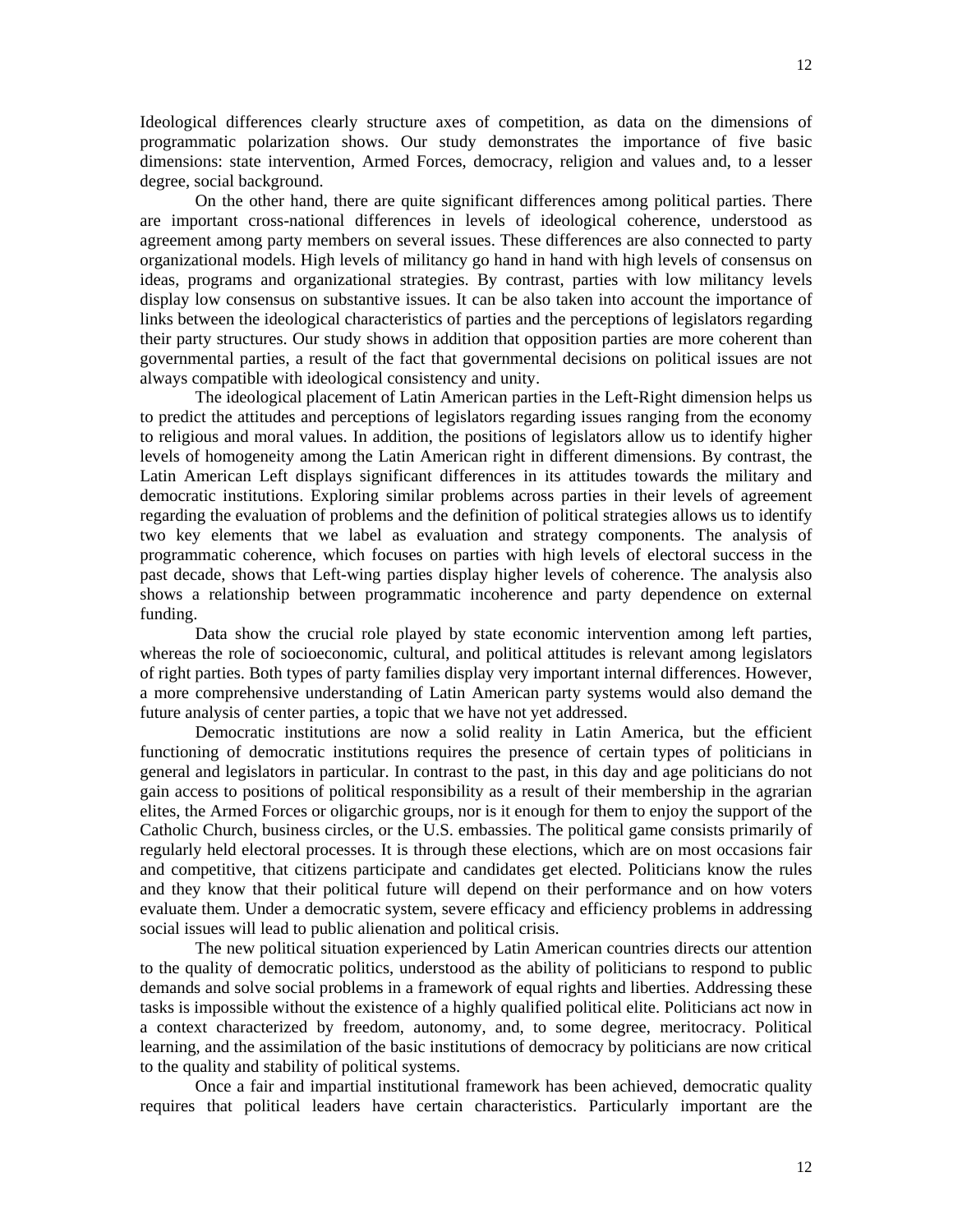Ideological differences clearly structure axes of competition, as data on the dimensions of

programmatic polarization shows. Our study demonstrates the importance of five basic dimensions: state intervention, Armed Forces, democracy, religion and values and, to a lesser degree, social background.

On the other hand, there are quite significant differences among political parties. There are important cross-national differences in levels of ideological coherence, understood as agreement among party members on several issues. These differences are also connected to party organizational models. High levels of militancy go hand in hand with high levels of consensus on ideas, programs and organizational strategies. By contrast, parties with low militancy levels display low consensus on substantive issues. It can be also taken into account the importance of links between the ideological characteristics of parties and the perceptions of legislators regarding their party structures. Our study shows in addition that opposition parties are more coherent than governmental parties, a result of the fact that governmental decisions on political issues are not always compatible with ideological consistency and unity.

The ideological placement of Latin American parties in the Left-Right dimension helps us to predict the attitudes and perceptions of legislators regarding issues ranging from the economy to religious and moral values. In addition, the positions of legislators allow us to identify higher levels of homogeneity among the Latin American right in different dimensions. By contrast, the Latin American Left displays significant differences in its attitudes towards the military and democratic institutions. Exploring similar problems across parties in their levels of agreement regarding the evaluation of problems and the definition of political strategies allows us to identify two key elements that we label as evaluation and strategy components. The analysis of programmatic coherence, which focuses on parties with high levels of electoral success in the past decade, shows that Left-wing parties display higher levels of coherence. The analysis also shows a relationship between programmatic incoherence and party dependence on external funding.

Data show the crucial role played by state economic intervention among left parties, whereas the role of socioeconomic, cultural, and political attitudes is relevant among legislators of right parties. Both types of party families display very important internal differences. However, a more comprehensive understanding of Latin American party systems would also demand the future analysis of center parties, a topic that we have not yet addressed.

Democratic institutions are now a solid reality in Latin America, but the efficient functioning of democratic institutions requires the presence of certain types of politicians in general and legislators in particular. In contrast to the past, in this day and age politicians do not gain access to positions of political responsibility as a result of their membership in the agrarian elites, the Armed Forces or oligarchic groups, nor is it enough for them to enjoy the support of the Catholic Church, business circles, or the U.S. embassies. The political game consists primarily of regularly held electoral processes. It is through these elections, which are on most occasions fair and competitive, that citizens participate and candidates get elected. Politicians know the rules and they know that their political future will depend on their performance and on how voters evaluate them. Under a democratic system, severe efficacy and efficiency problems in addressing social issues will lead to public alienation and political crisis.

The new political situation experienced by Latin American countries directs our attention to the quality of democratic politics, understood as the ability of politicians to respond to public demands and solve social problems in a framework of equal rights and liberties. Addressing these tasks is impossible without the existence of a highly qualified political elite. Politicians act now in a context characterized by freedom, autonomy, and, to some degree, meritocracy. Political learning, and the assimilation of the basic institutions of democracy by politicians are now critical to the quality and stability of political systems.

Once a fair and impartial institutional framework has been achieved, democratic quality requires that political leaders have certain characteristics. Particularly important are the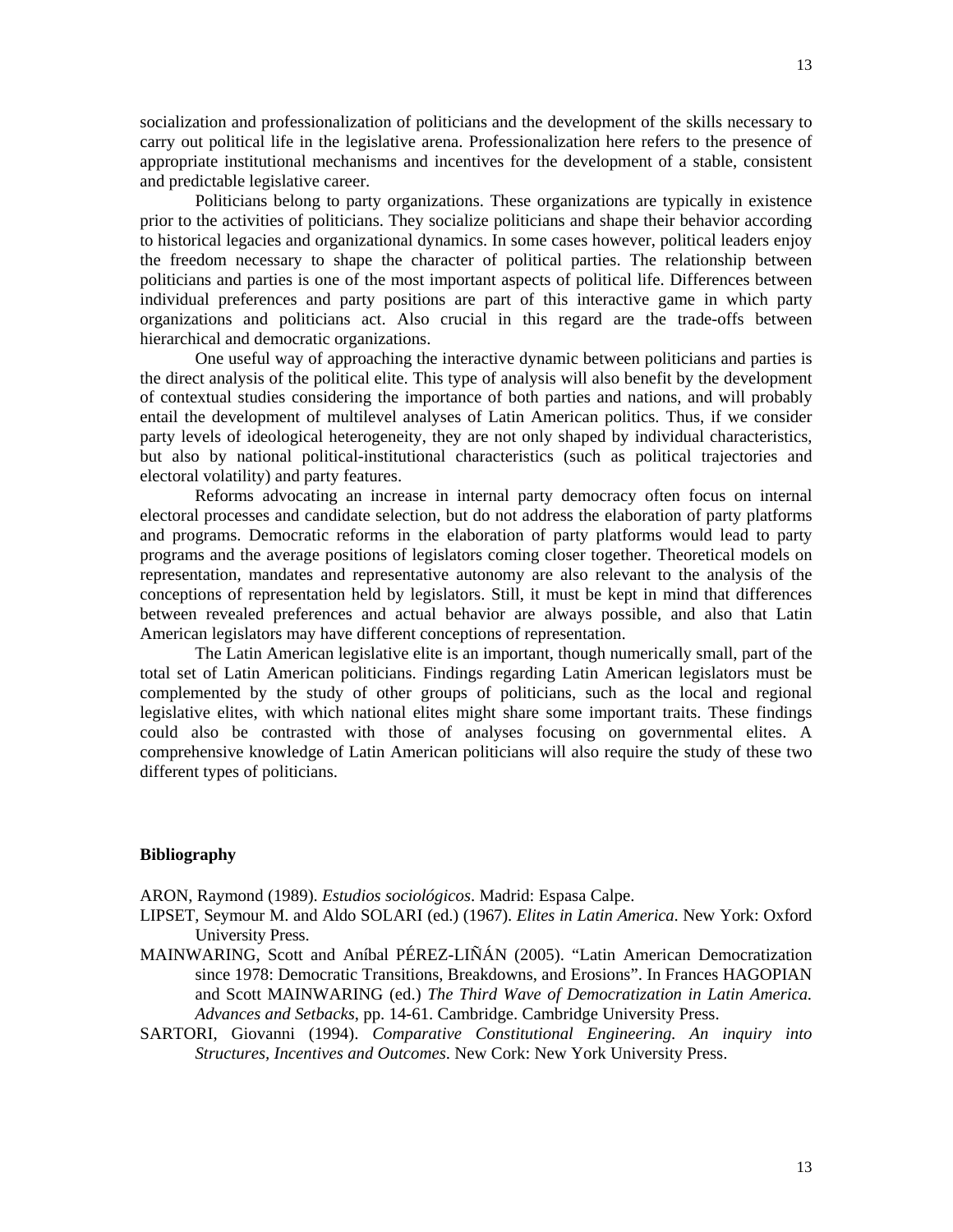13

socialization and professionalization of politicians and the development of the skills necessary to carry out political life in the legislative arena. Professionalization here refers to the presence of appropriate institutional mechanisms and incentives for the development of a stable, consistent and predictable legislative career.

Politicians belong to party organizations. These organizations are typically in existence prior to the activities of politicians. They socialize politicians and shape their behavior according to historical legacies and organizational dynamics. In some cases however, political leaders enjoy the freedom necessary to shape the character of political parties. The relationship between politicians and parties is one of the most important aspects of political life. Differences between individual preferences and party positions are part of this interactive game in which party organizations and politicians act. Also crucial in this regard are the trade-offs between hierarchical and democratic organizations.

One useful way of approaching the interactive dynamic between politicians and parties is the direct analysis of the political elite. This type of analysis will also benefit by the development of contextual studies considering the importance of both parties and nations, and will probably entail the development of multilevel analyses of Latin American politics. Thus, if we consider party levels of ideological heterogeneity, they are not only shaped by individual characteristics, but also by national political-institutional characteristics (such as political trajectories and electoral volatility) and party features.

Reforms advocating an increase in internal party democracy often focus on internal electoral processes and candidate selection, but do not address the elaboration of party platforms and programs. Democratic reforms in the elaboration of party platforms would lead to party programs and the average positions of legislators coming closer together. Theoretical models on representation, mandates and representative autonomy are also relevant to the analysis of the conceptions of representation held by legislators. Still, it must be kept in mind that differences between revealed preferences and actual behavior are always possible, and also that Latin American legislators may have different conceptions of representation.

The Latin American legislative elite is an important, though numerically small, part of the total set of Latin American politicians. Findings regarding Latin American legislators must be complemented by the study of other groups of politicians, such as the local and regional legislative elites, with which national elites might share some important traits. These findings could also be contrasted with those of analyses focusing on governmental elites. A comprehensive knowledge of Latin American politicians will also require the study of these two different types of politicians.

## **Bibliography**

ARON, Raymond (1989). *Estudios sociológicos*. Madrid: Espasa Calpe.

- LIPSET, Seymour M. and Aldo SOLARI (ed.) (1967). *Elites in Latin America*. New York: Oxford University Press.
- MAINWARING, Scott and Aníbal PÉREZ-LIÑÁN (2005). "Latin American Democratization since 1978: Democratic Transitions, Breakdowns, and Erosions". In Frances HAGOPIAN and Scott MAINWARING (ed.) *The Third Wave of Democratization in Latin America. Advances and Setbacks*, pp. 14-61. Cambridge. Cambridge University Press.
- SARTORI, Giovanni (1994). *Comparative Constitutional Engineering. An inquiry into Structures, Incentives and Outcomes*. New Cork: New York University Press.